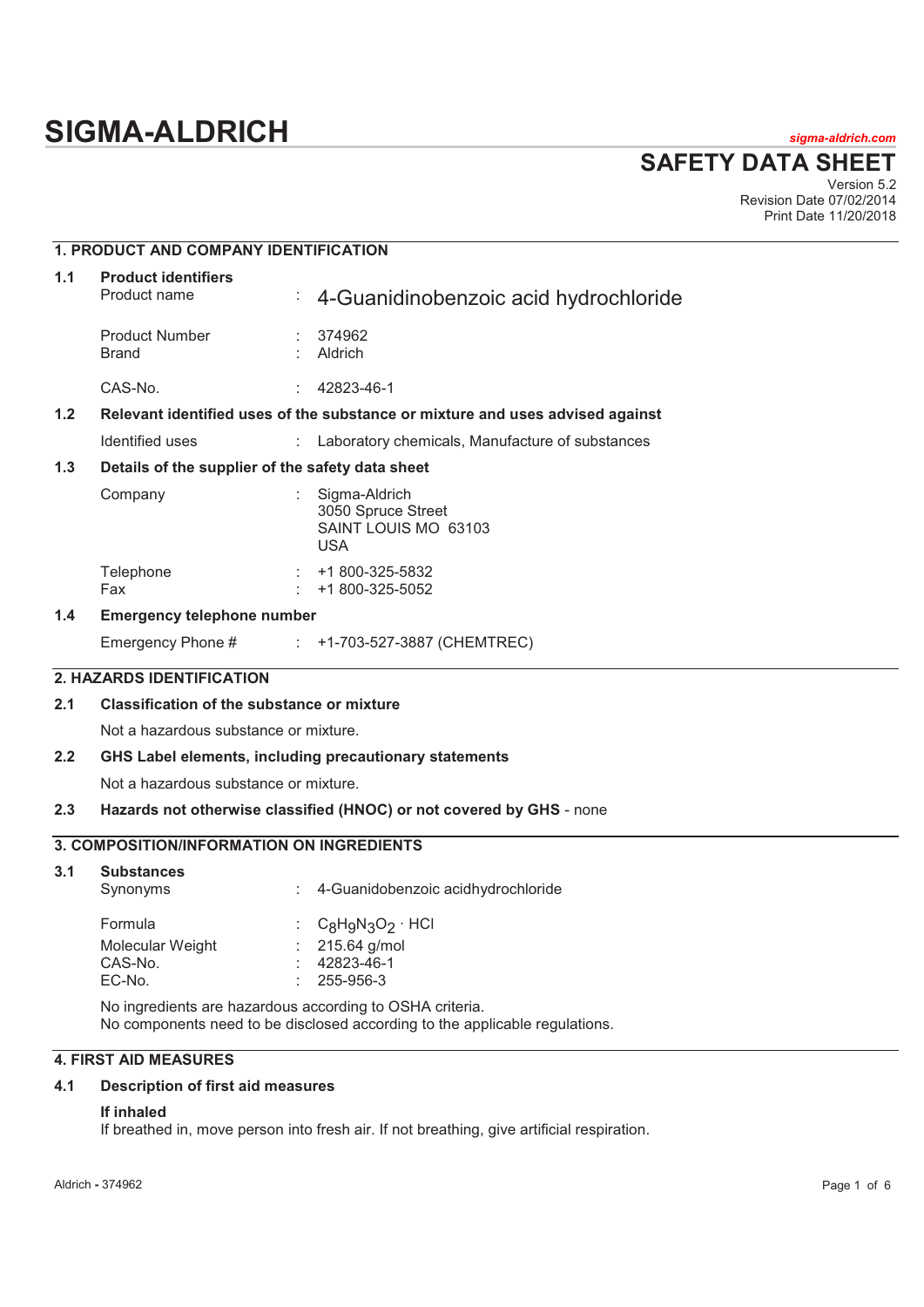# **SIGMA-ALDRICH** *sigma-aldrich.com*

**SAFETY DATA SHEET**

Version 5.2 Revision Date 07/02/2014 Print Date 11/20/2018

## **1. PRODUCT AND COMPANY IDENTIFICATION 1.1 Product identifiers**  Product name : 4-Guanidinobenzoic acid hydrochloride Product Number : 374962<br>Brand : Aldrich **Aldrich** CAS-No. : 42823-46-1 **1.2 Relevant identified uses of the substance or mixture and uses advised against**  Identified uses : Laboratory chemicals, Manufacture of substances **1.3 Details of the supplier of the safety data sheet**  Company : Sigma-Aldrich 3050 Spruce Street SAINT LOUIS MO 63103 USA Telephone : +1 800-325-5832 Fax : +1 800-325-5052 **1.4 Emergency telephone number**  Emergency Phone # : +1-703-527-3887 (CHEMTREC) **2. HAZARDS IDENTIFICATION 2.1 Classification of the substance or mixture**  Not a hazardous substance or mixture. **2.2 GHS Label elements, including precautionary statements**  Not a hazardous substance or mixture. **2.3 Hazards not otherwise classified (HNOC) or not covered by GHS** - none **3. COMPOSITION/INFORMATION ON INGREDIENTS 3.1 Substances**  Synonyms : 4-Guanidobenzoic acidhydrochloride Formula  $C_8H_9N_3O_2 \cdot HCl$ <br>Molecular Weight  $C_2$  : 215.64 g/mol Molecular Weight<br>CAS-No. CAS-No. : 42823-46-1 EC-No. : 255-956-3 No ingredients are hazardous according to OSHA criteria. No components need to be disclosed according to the applicable regulations.

#### **4. FIRST AID MEASURES**

#### **4.1 Description of first aid measures**

#### **If inhaled**

If breathed in, move person into fresh air. If not breathing, give artificial respiration.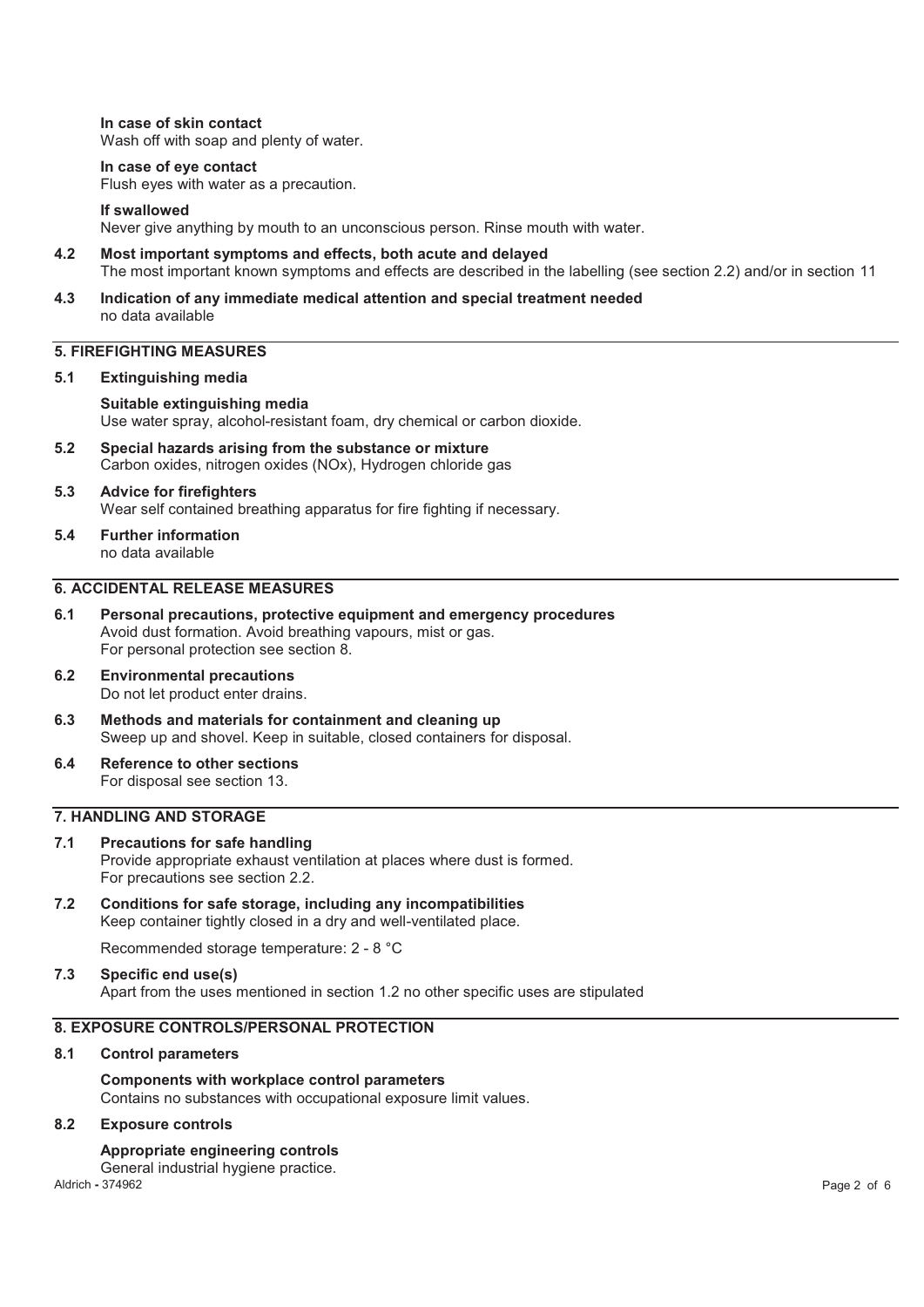**In case of skin contact**  Wash off with soap and plenty of water.

#### **In case of eye contact**

Flush eyes with water as a precaution.

#### **If swallowed**

Never give anything by mouth to an unconscious person. Rinse mouth with water.

- **4.2 Most important symptoms and effects, both acute and delayed**  The most important known symptoms and effects are described in the labelling (see section 2.2) and/or in section 11
- **4.3 Indication of any immediate medical attention and special treatment needed**  no data available

### **5. FIREFIGHTING MEASURES**

#### **5.1 Extinguishing media**

**Suitable extinguishing media**  Use water spray, alcohol-resistant foam, dry chemical or carbon dioxide.

- **5.2 Special hazards arising from the substance or mixture**  Carbon oxides, nitrogen oxides (NOx), Hydrogen chloride gas
- **5.3 Advice for firefighters**  Wear self contained breathing apparatus for fire fighting if necessary.
- **5.4 Further information**  no data available

### **6. ACCIDENTAL RELEASE MEASURES**

- **6.1 Personal precautions, protective equipment and emergency procedures**  Avoid dust formation. Avoid breathing vapours, mist or gas. For personal protection see section 8.
- **6.2 Environmental precautions**  Do not let product enter drains.
- **6.3 Methods and materials for containment and cleaning up**  Sweep up and shovel. Keep in suitable, closed containers for disposal.
- **6.4 Reference to other sections**  For disposal see section 13.

### **7. HANDLING AND STORAGE**

- **7.1 Precautions for safe handling**  Provide appropriate exhaust ventilation at places where dust is formed. For precautions see section 2.2.
- **7.2 Conditions for safe storage, including any incompatibilities**  Keep container tightly closed in a dry and well-ventilated place.

Recommended storage temperature: 2 - 8 °C

### **7.3 Specific end use(s)**  Apart from the uses mentioned in section 1.2 no other specific uses are stipulated

### **8. EXPOSURE CONTROLS/PERSONAL PROTECTION**

**8.1 Control parameters** 

### **Components with workplace control parameters**

Contains no substances with occupational exposure limit values.

#### **8.2 Exposure controls**

#### **Appropriate engineering controls**

General industrial hygiene practice.<br>Aldrich - 374962

Aldrich **-** 374962 Page 2 of 6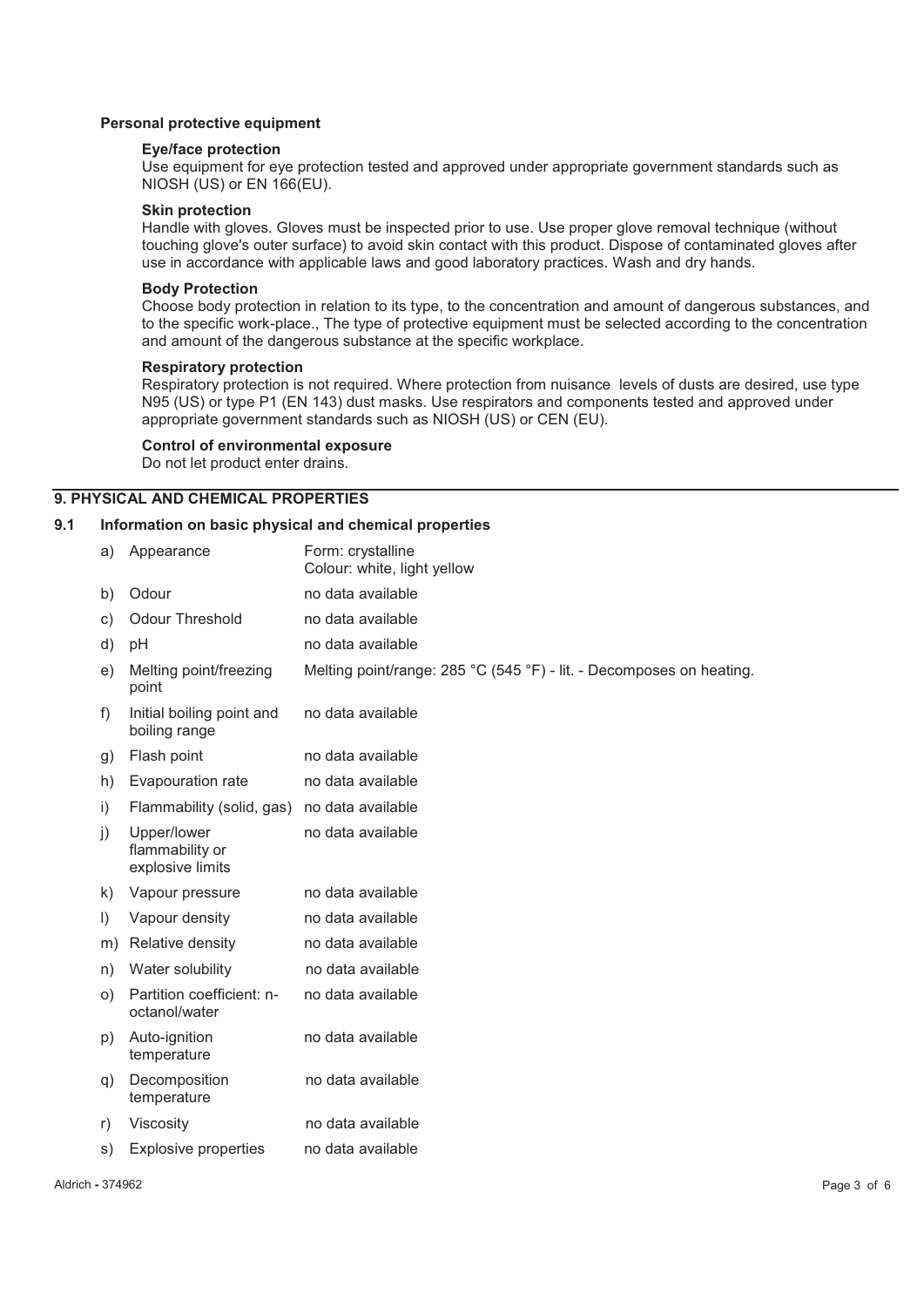#### **Personal protective equipment**

#### **Eye/face protection**

Use equipment for eye protection tested and approved under appropriate government standards such as NIOSH (US) or EN 166(EU).

#### **Skin protection**

Handle with gloves. Gloves must be inspected prior to use. Use proper glove removal technique (without touching glove's outer surface) to avoid skin contact with this product. Dispose of contaminated gloves after use in accordance with applicable laws and good laboratory practices. Wash and dry hands.

#### **Body Protection**

Choose body protection in relation to its type, to the concentration and amount of dangerous substances, and to the specific work-place., The type of protective equipment must be selected according to the concentration and amount of the dangerous substance at the specific workplace.

#### **Respiratory protection**

Respiratory protection is not required. Where protection from nuisance levels of dusts are desired, use type N95 (US) or type P1 (EN 143) dust masks. Use respirators and components tested and approved under appropriate government standards such as NIOSH (US) or CEN (EU).

#### **Control of environmental exposure**

Do not let product enter drains.

### **9. PHYSICAL AND CHEMICAL PROPERTIES**

#### **9.1 Information on basic physical and chemical properties**

| a)        | Appearance                                         | Form: crystalline<br>Colour: white, light yellow                     |
|-----------|----------------------------------------------------|----------------------------------------------------------------------|
| b)        | Odour                                              | no data available                                                    |
| C)        | <b>Odour Threshold</b>                             | no data available                                                    |
| d)        | pH                                                 | no data available                                                    |
| e)        | Melting point/freezing<br>point                    | Melting point/range: 285 °C (545 °F) - lit. - Decomposes on heating. |
| f)        | Initial boiling point and<br>boiling range         | no data available                                                    |
| g)        | Flash point                                        | no data available                                                    |
| h)        | Evapouration rate                                  | no data available                                                    |
| i)        | Flammability (solid, gas)                          | no data available                                                    |
| j)        | Upper/lower<br>flammability or<br>explosive limits | no data available                                                    |
| k)        | Vapour pressure                                    | no data available                                                    |
| $\vert$ ) | Vapour density                                     | no data available                                                    |
| m)        | Relative density                                   | no data available                                                    |
| n)        | Water solubility                                   | no data available                                                    |
| O()       | Partition coefficient: n-<br>octanol/water         | no data available                                                    |
| p)        | Auto-ignition<br>temperature                       | no data available                                                    |
| q)        | Decomposition<br>temperature                       | no data available                                                    |
| r)        | Viscosity                                          | no data available                                                    |
| s)        | <b>Explosive properties</b>                        | no data available                                                    |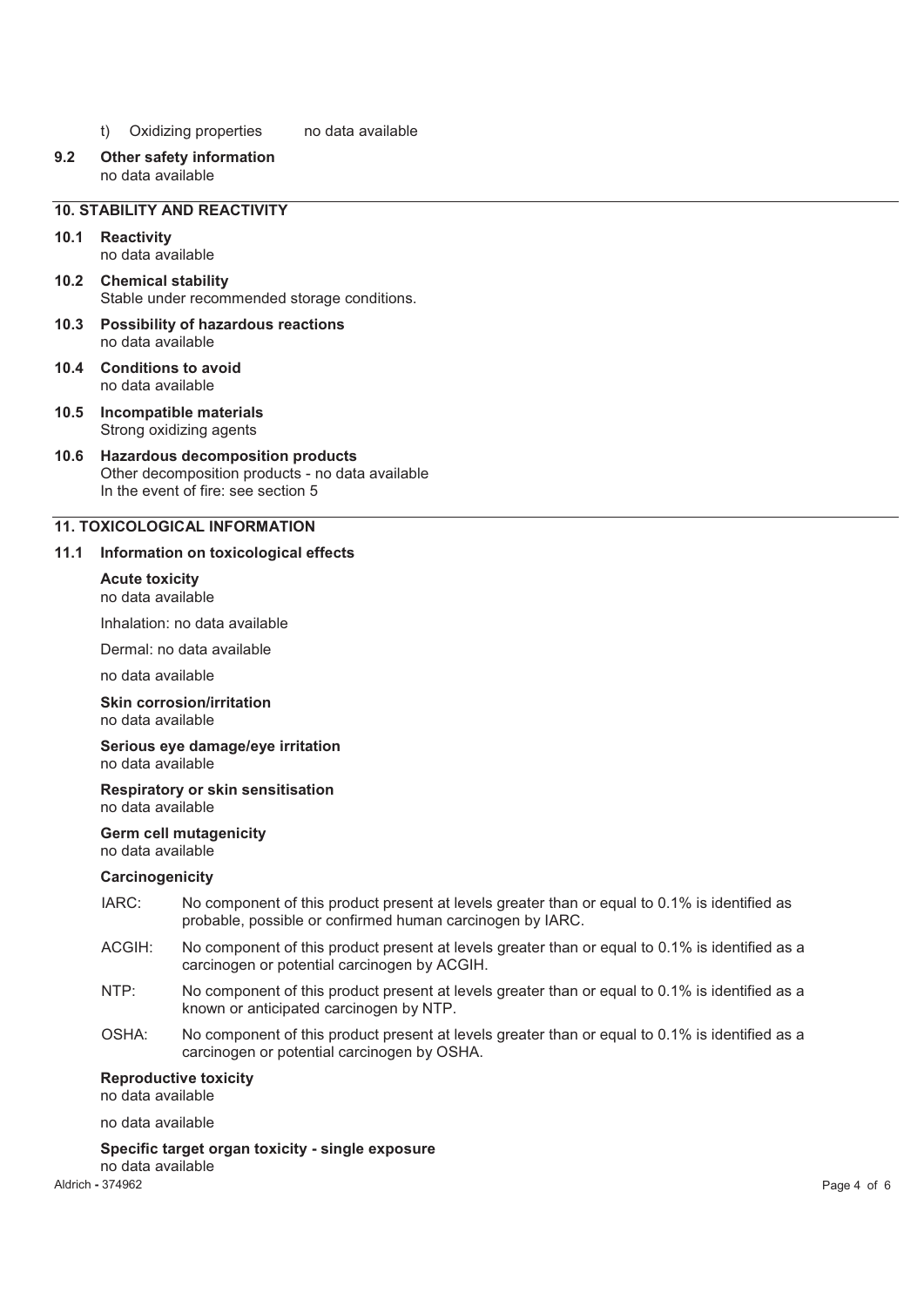- t) Oxidizing properties no data available
- **9.2 Other safety information**  no data available

### **10. STABILITY AND REACTIVITY**

**10.1 Reactivity**  no data available

- **10.2 Chemical stability**  Stable under recommended storage conditions.
- **10.3 Possibility of hazardous reactions**  no data available
- **10.4 Conditions to avoid**  no data available
- **10.5 Incompatible materials**  Strong oxidizing agents
- **10.6 Hazardous decomposition products**  Other decomposition products - no data available In the event of fire: see section 5

### **11. TOXICOLOGICAL INFORMATION**

#### **11.1 Information on toxicological effects**

### **Acute toxicity**

no data available

Inhalation: no data available

Dermal: no data available

no data available

#### **Skin corrosion/irritation**

no data available

#### **Serious eye damage/eye irritation**  no data available

#### **Respiratory or skin sensitisation**  no data available

#### **Germ cell mutagenicity**

no data available

#### **Carcinogenicity**

- IARC: No component of this product present at levels greater than or equal to 0.1% is identified as probable, possible or confirmed human carcinogen by IARC.
- ACGIH: No component of this product present at levels greater than or equal to 0.1% is identified as a carcinogen or potential carcinogen by ACGIH.
- NTP: No component of this product present at levels greater than or equal to 0.1% is identified as a known or anticipated carcinogen by NTP.
- OSHA: No component of this product present at levels greater than or equal to 0.1% is identified as a carcinogen or potential carcinogen by OSHA.

#### **Reproductive toxicity**

no data available

no data available

#### **Specific target organ toxicity - single exposure**  no data available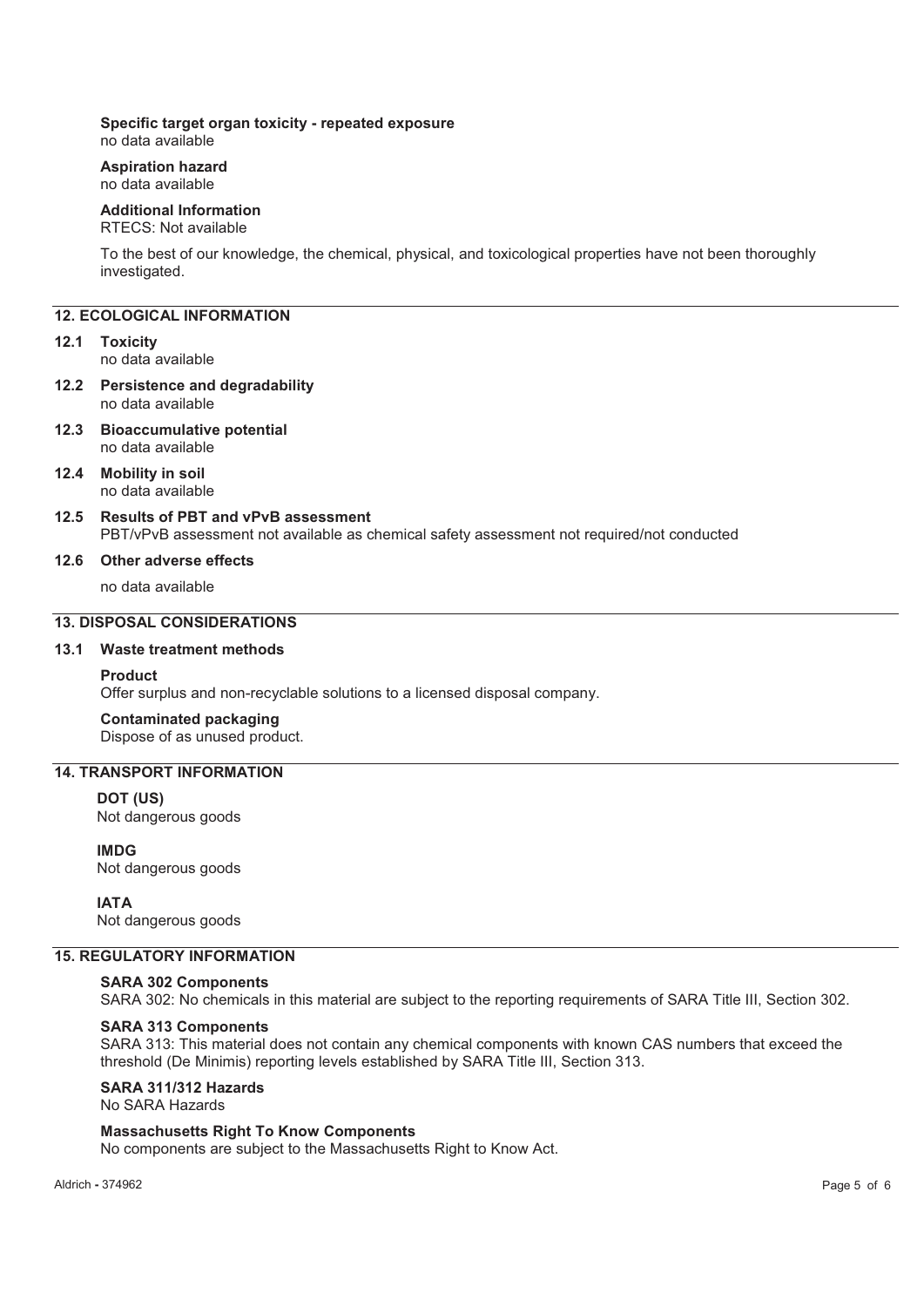### **Specific target organ toxicity - repeated exposure**

no data available

#### **Aspiration hazard**  no data available

### **Additional Information**

### RTECS: Not available

To the best of our knowledge, the chemical, physical, and toxicological properties have not been thoroughly investigated.

### **12. ECOLOGICAL INFORMATION**

#### **12.1 Toxicity**

no data available

#### **12.2 Persistence and degradability**  no data available

**12.3 Bioaccumulative potential**  no data available

#### **12.4 Mobility in soil**  no data available

### **12.5 Results of PBT and vPvB assessment**

PBT/vPvB assessment not available as chemical safety assessment not required/not conducted

#### **12.6 Other adverse effects**

no data available

### **13. DISPOSAL CONSIDERATIONS**

### **13.1 Waste treatment methods**

#### **Product**

Offer surplus and non-recyclable solutions to a licensed disposal company.

### **Contaminated packaging**

Dispose of as unused product.

### **14. TRANSPORT INFORMATION**

### **DOT (US)**

Not dangerous goods

**IMDG** Not dangerous goods

#### **IATA**

Not dangerous goods

### **15. REGULATORY INFORMATION**

### **SARA 302 Components**

SARA 302: No chemicals in this material are subject to the reporting requirements of SARA Title III, Section 302.

#### **SARA 313 Components**

SARA 313: This material does not contain any chemical components with known CAS numbers that exceed the threshold (De Minimis) reporting levels established by SARA Title III, Section 313.

**SARA 311/312 Hazards** 

### No SARA Hazards

### **Massachusetts Right To Know Components**

No components are subject to the Massachusetts Right to Know Act.